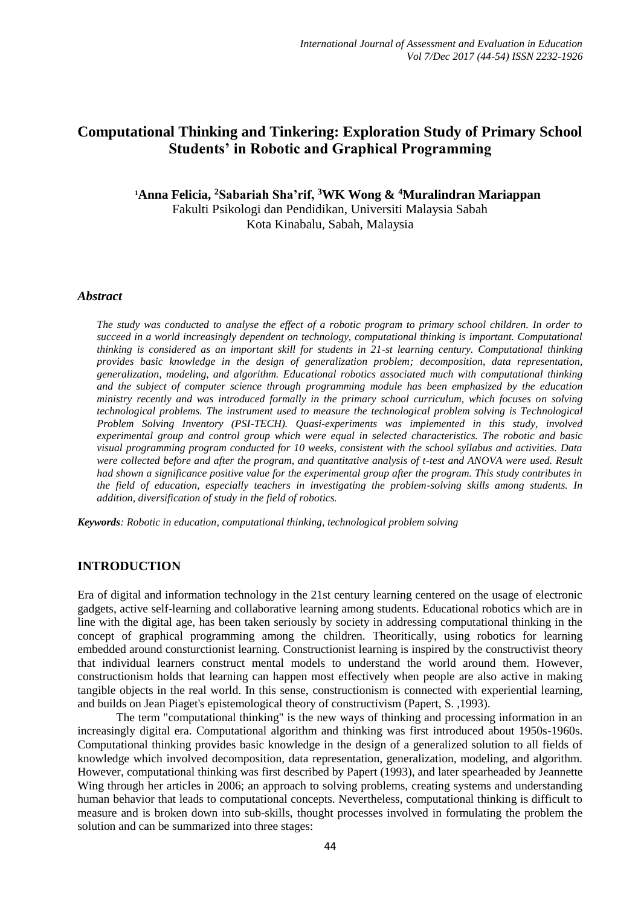# **Computational Thinking and Tinkering: Exploration Study of Primary School Students' in Robotic and Graphical Programming**

# **<sup>1</sup>Anna Felicia, <sup>2</sup>Sabariah Sha'rif, <sup>3</sup>WK Wong & <sup>4</sup>Muralindran Mariappan** Fakulti Psikologi dan Pendidikan, Universiti Malaysia Sabah Kota Kinabalu, Sabah, Malaysia

#### *Abstract*

*The study was conducted to analyse the effect of a robotic program to primary school children. In order to succeed in a world increasingly dependent on technology, computational thinking is important. Computational thinking is considered as an important skill for students in 21-st learning century. Computational thinking provides basic knowledge in the design of generalization problem; decomposition, data representation, generalization, modeling, and algorithm. Educational robotics associated much with computational thinking and the subject of computer science through programming module has been emphasized by the education ministry recently and was introduced formally in the primary school curriculum, which focuses on solving technological problems. The instrument used to measure the technological problem solving is Technological Problem Solving Inventory (PSI-TECH). Quasi-experiments was implemented in this study, involved experimental group and control group which were equal in selected characteristics. The robotic and basic visual programming program conducted for 10 weeks, consistent with the school syllabus and activities. Data*  were collected before and after the program, and quantitative analysis of t-test and ANOVA were used. Result *had shown a significance positive value for the experimental group after the program. This study contributes in the field of education, especially teachers in investigating the problem-solving skills among students. In addition, diversification of study in the field of robotics.*

*Keywords: Robotic in education, computational thinking, technological problem solving*

## **INTRODUCTION**

Era of digital and information technology in the 21st century learning centered on the usage of electronic gadgets, active self-learning and collaborative learning among students. Educational robotics which are in line with the digital age, has been taken seriously by society in addressing computational thinking in the concept of graphical programming among the children. Theoritically, using robotics for learning embedded around consturctionist learning. Constructionist learning is inspired by the [constructivist](http://en.wikipedia.org/wiki/Constructivism_%28learning_theory%29) theory that individual learners construct mental models to understand the world around them. However, constructionism holds that learning can happen most effectively when people are also active in making tangible objects in the real world. In this sense, constructionism is connected with [experiential learning,](http://en.wikipedia.org/wiki/Experiential_education) and builds on [Jean Piaget's](http://en.wikipedia.org/wiki/Jean_Piaget) [epistemological](http://en.wikipedia.org/wiki/Epistemological) theory of [constructivism](http://en.wikipedia.org/wiki/Constructivism_%28learning_theory%29) (Papert, S. ,1993).

The term "computational thinking" is the new ways of thinking and processing information in an increasingly digital era. Computational algorithm and thinking was first introduced about 1950s-1960s. Computational thinking provides basic knowledge in the design of a generalized solution to all fields of knowledge which involved decomposition, data representation, generalization, modeling, and algorithm. However, computational thinking was first described by Papert (1993), and later spearheaded by Jeannette Wing through her articles in 2006; an approach to solving problems, creating systems and understanding human behavior that leads to computational concepts. Nevertheless, computational thinking is difficult to measure and is broken down into sub-skills, thought processes involved in formulating the problem the solution and can be summarized into three stages: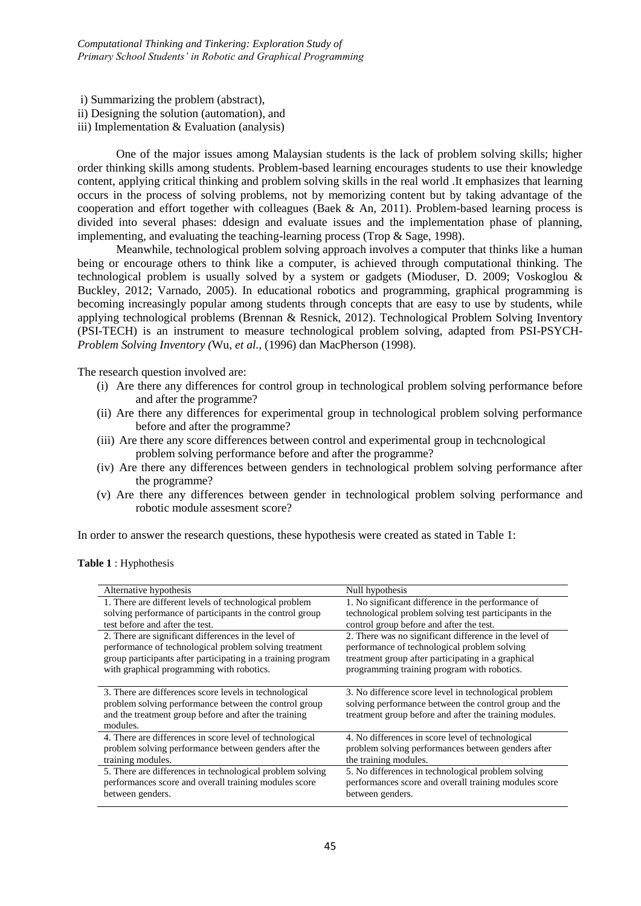i) Summarizing the problem (abstract), ii) Designing the solution (automation), and iii) Implementation & Evaluation (analysis)

One of the major issues among Malaysian students is the lack of problem solving skills; higher order thinking skills among students. Problem-based learning encourages students to use their knowledge content, applying critical thinking and problem solving skills in the real world .It emphasizes that learning occurs in the process of solving problems, not by memorizing content but by taking advantage of the cooperation and effort together with colleagues (Baek & An, 2011). Problem-based learning process is divided into several phases: ddesign and evaluate issues and the implementation phase of planning, implementing, and evaluating the teaching-learning process (Trop & Sage, 1998).

Meanwhile, technological problem solving approach involves a computer that thinks like a human being or encourage others to think like a computer, is achieved through computational thinking. The technological problem is usually solved by a system or gadgets (Mioduser, D. 2009; Voskoglou & Buckley, 2012; Varnado, 2005). In educational robotics and programming, graphical programming is becoming increasingly popular among students through concepts that are easy to use by students, while applying technological problems (Brennan & Resnick, 2012). Technological Problem Solving Inventory (PSI-TECH) is an instrument to measure technological problem solving, adapted from PSI-PSYCH-*Problem Solving Inventory (*Wu, *et al.,* (1996) dan MacPherson (1998).

The research question involved are:

- (i) Are there any differences for control group in technological problem solving performance before and after the programme?
- (ii) Are there any differences for experimental group in technological problem solving performance before and after the programme?
- (iii) Are there any score differences between control and experimental group in techcnological problem solving performance before and after the programme?
- (iv) Are there any differences between genders in technological problem solving performance after the programme?
- (v) Are there any differences between gender in technological problem solving performance and robotic module assesment score?

In order to answer the research questions, these hypothesis were created as stated in Table 1:

| <b>Table 1:</b> Hyphothesis |  |  |  |  |  |
|-----------------------------|--|--|--|--|--|
|-----------------------------|--|--|--|--|--|

| Alternative hypothesis                                       | Null hypothesis                                        |
|--------------------------------------------------------------|--------------------------------------------------------|
| 1. There are different levels of technological problem       | 1. No significant difference in the performance of     |
| solving performance of participants in the control group     | technological problem solving test participants in the |
| test before and after the test.                              | control group before and after the test.               |
| 2. There are significant differences in the level of         | 2. There was no significant difference in the level of |
| performance of technological problem solving treatment       | performance of technological problem solving           |
| group participants after participating in a training program | treatment group after participating in a graphical     |
| with graphical programming with robotics.                    | programming training program with robotics.            |
|                                                              |                                                        |
| 3. There are differences score levels in technological       | 3. No difference score level in technological problem  |
| problem solving performance between the control group        | solving performance between the control group and the  |
| and the treatment group before and after the training        | treatment group before and after the training modules. |
| modules.                                                     |                                                        |
| 4. There are differences in score level of technological     | 4. No differences in score level of technological      |
| problem solving performance between genders after the        | problem solving performances between genders after     |
| training modules.                                            | the training modules.                                  |
| 5. There are differences in technological problem solving    | 5. No differences in technological problem solving     |
| performances score and overall training modules score        | performances score and overall training modules score  |
| between genders.                                             | between genders.                                       |
|                                                              |                                                        |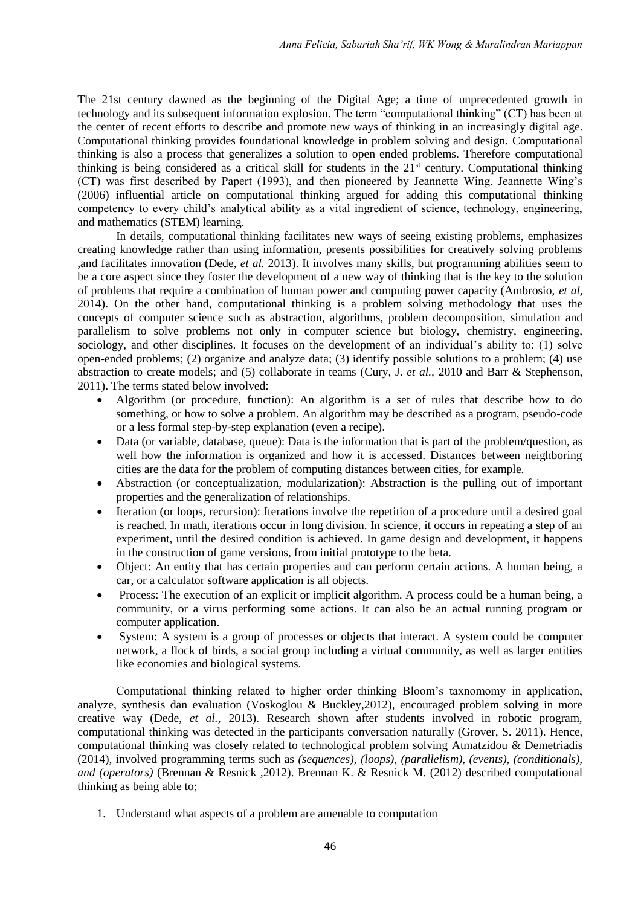The 21st century dawned as the beginning of the Digital Age; a time of unprecedented growth in technology and its subsequent information explosion. The term "computational thinking" (CT) has been at the center of recent efforts to describe and promote new ways of thinking in an increasingly digital age. Computational thinking provides foundational knowledge in problem solving and design. Computational thinking is also a process that generalizes a solution to open ended problems. Therefore computational thinking is being considered as a critical skill for students in the  $21<sup>st</sup>$  century. Computational thinking (CT) was first described by Papert (1993), and then pioneered by Jeannette Wing. Jeannette Wing's (2006) influential article on computational thinking argued for adding this computational thinking competency to every child's analytical ability as a vital ingredient of science, technology, engineering, and mathematics (STEM) learning.

In details, computational thinking facilitates new ways of seeing existing problems, emphasizes creating knowledge rather than using information, presents possibilities for creatively solving problems ,and facilitates innovation (Dede, *et al.* 2013). It involves many skills, but programming abilities seem to be a core aspect since they foster the development of a new way of thinking that is the key to the solution of problems that require a combination of human power and computing power capacity (Ambrosio, *et al,*  2014). On the other hand, computational thinking is a problem solving methodology that uses the concepts of computer science such as abstraction, algorithms, problem decomposition, simulation and parallelism to solve problems not only in computer science but biology, chemistry, engineering, sociology, and other disciplines. It focuses on the development of an individual's ability to: (1) solve open-ended problems; (2) organize and analyze data; (3) identify possible solutions to a problem; (4) use abstraction to create models; and (5) collaborate in teams (Cury, J. *et al.,* 2010 and Barr & Stephenson, 2011). The terms stated below involved:

- Algorithm (or procedure, function): An algorithm is a set of rules that describe how to do something, or how to solve a problem. An algorithm may be described as a program, pseudo-code or a less formal step-by-step explanation (even a recipe).
- Data (or variable, database, queue): Data is the information that is part of the problem/question, as well how the information is organized and how it is accessed. Distances between neighboring cities are the data for the problem of computing distances between cities, for example.
- Abstraction (or conceptualization, modularization): Abstraction is the pulling out of important properties and the generalization of relationships.
- Iteration (or loops, recursion): Iterations involve the repetition of a procedure until a desired goal is reached. In math, iterations occur in long division. In science, it occurs in repeating a step of an experiment, until the desired condition is achieved. In game design and development, it happens in the construction of game versions, from initial prototype to the beta.
- Object: An entity that has certain properties and can perform certain actions. A human being, a car, or a calculator software application is all objects.
- Process: The execution of an explicit or implicit algorithm. A process could be a human being, a community, or a virus performing some actions. It can also be an actual running program or computer application.
- System: A system is a group of processes or objects that interact. A system could be computer network, a flock of birds, a social group including a virtual community, as well as larger entities like economies and biological systems.

Computational thinking related to higher order thinking Bloom's taxnomomy in application, analyze, synthesis dan evaluation (Voskoglou & Buckley,2012), encouraged problem solving in more creative way (Dede, *et al.,* 2013). Research shown after students involved in robotic program, computational thinking was detected in the participants conversation naturally (Grover, S. 2011). Hence, computational thinking was closely related to technological problem solving Atmatzidou & Demetriadis (2014), involved programming terms such as *(sequences)*, *(loops)*, *(parallelism), (events), (conditionals), and (operators)* (Brennan & Resnick ,2012). Brennan K. & Resnick M. (2012) described computational thinking as being able to;

1. Understand what aspects of a problem are amenable to computation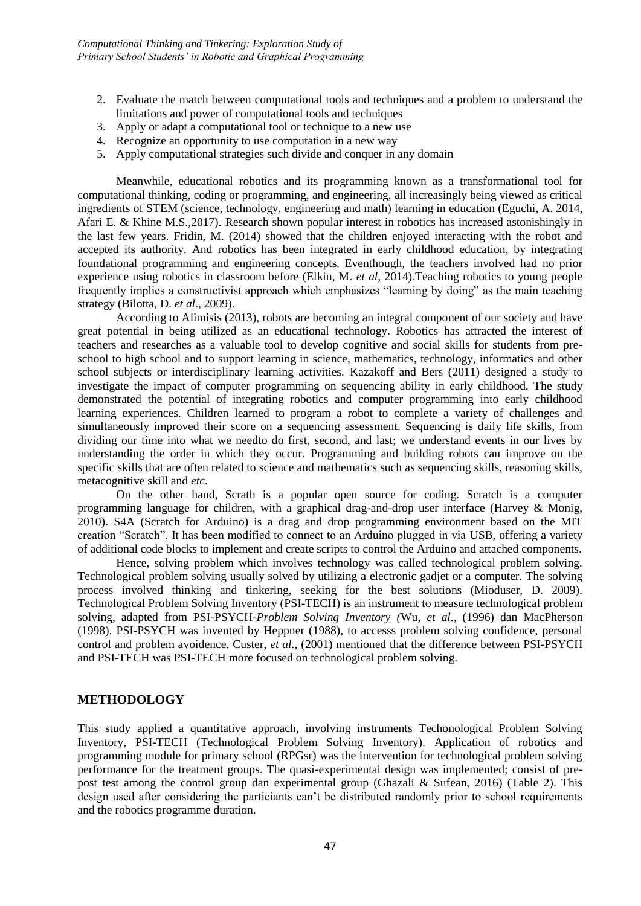- 2. Evaluate the match between computational tools and techniques and a problem to understand the limitations and power of computational tools and techniques
- 3. Apply or adapt a computational tool or technique to a new use
- 4. Recognize an opportunity to use computation in a new way
- 5. Apply computational strategies such divide and conquer in any domain

Meanwhile, educational robotics and its programming known as a transformational tool for computational thinking, coding or programming, and engineering, all increasingly being viewed as critical ingredients of STEM (science, technology, engineering and math) learning in education (Eguchi, A. 2014, Afari E. & Khine M.S.,2017). Research shown popular interest in robotics has increased astonishingly in the last few years. Fridin, M. (2014) showed that the children enjoyed interacting with the robot and accepted its authority. And robotics has been integrated in early childhood education, by integrating foundational programming and engineering concepts. Eventhough, the teachers involved had no prior experience using robotics in classroom before (Elkin, M. *et al*, 2014).Teaching robotics to young people frequently implies a constructivist approach which emphasizes "learning by doing" as the main teaching strategy (Bilotta, D. *et al*., 2009).

According to Alimisis (2013), robots are becoming an integral component of our society and have great potential in being utilized as an educational technology. Robotics has attracted the interest of teachers and researches as a valuable tool to develop cognitive and social skills for students from preschool to high school and to support learning in science, mathematics, technology, informatics and other school subjects or interdisciplinary learning activities. Kazakoff and Bers (2011) designed a study to investigate the impact of computer programming on sequencing ability in early childhood. The study demonstrated the potential of integrating robotics and computer programming into early childhood learning experiences. Children learned to program a robot to complete a variety of challenges and simultaneously improved their score on a sequencing assessment. Sequencing is daily life skills, from dividing our time into what we needto do first, second, and last; we understand events in our lives by understanding the order in which they occur. Programming and building robots can improve on the specific skills that are often related to science and mathematics such as sequencing skills, reasoning skills, metacognitive skill and *etc*.

On the other hand, Scrath is a popular open source for coding. Scratch is a computer programming language for children, with a graphical drag-and-drop user interface (Harvey & Monig, 2010). S4A (Scratch for Arduino) is a drag and drop programming environment based on the MIT creation "Scratch". It has been modified to connect to an Arduino plugged in via USB, offering a variety of additional code blocks to implement and create scripts to control the Arduino and attached components.

Hence, solving problem which involves technology was called technological problem solving. Technological problem solving usually solved by utilizing a electronic gadjet or a computer. The solving process involved thinking and tinkering, seeking for the best solutions (Mioduser, D. 2009). Technological Problem Solving Inventory (PSI-TECH) is an instrument to measure technological problem solving, adapted from PSI-PSYCH-*Problem Solving Inventory (*Wu, *et al.,* (1996) dan MacPherson (1998). PSI-PSYCH was invented by Heppner (1988), to accesss problem solving confidence, personal control and problem avoidence. Custer, *et al.,* (2001) mentioned that the difference between PSI-PSYCH and PSI-TECH was PSI-TECH more focused on technological problem solving.

### **METHODOLOGY**

This study applied a quantitative approach, involving instruments Techonological Problem Solving Inventory, PSI-TECH (Technological Problem Solving Inventory). Application of robotics and programming module for primary school (RPGsr) was the intervention for technological problem solving performance for the treatment groups. The quasi-experimental design was implemented; consist of prepost test among the control group dan experimental group (Ghazali & Sufean, 2016) (Table 2). This design used after considering the particiants can't be distributed randomly prior to school requirements and the robotics programme duration.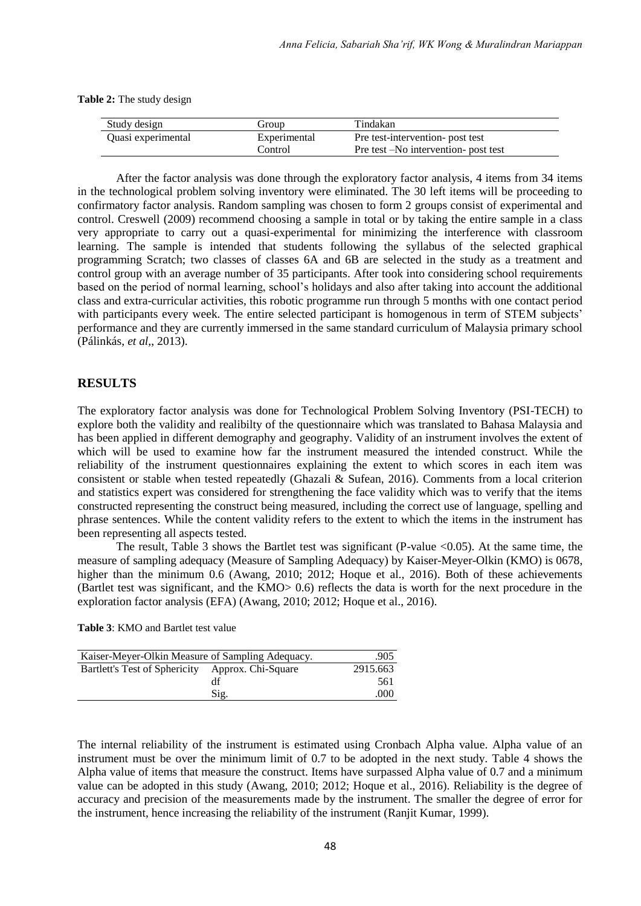**Table 2:** The study design

| Study design       | Group        | Tindakan                              |
|--------------------|--------------|---------------------------------------|
| Quasi experimental | Experimental | Pre test-intervention- post test      |
|                    | Control      | Pre test – No intervention- post test |

After the factor analysis was done through the exploratory factor analysis, 4 items from 34 items in the technological problem solving inventory were eliminated. The 30 left items will be proceeding to confirmatory factor analysis. Random sampling was chosen to form 2 groups consist of experimental and control. Creswell (2009) recommend choosing a sample in total or by taking the entire sample in a class very appropriate to carry out a quasi-experimental for minimizing the interference with classroom learning. The sample is intended that students following the syllabus of the selected graphical programming Scratch; two classes of classes 6A and 6B are selected in the study as a treatment and control group with an average number of 35 participants. After took into considering school requirements based on the period of normal learning, school's holidays and also after taking into account the additional class and extra-curricular activities, this robotic programme run through 5 months with one contact period with participants every week. The entire selected participant is homogenous in term of STEM subjects' performance and they are currently immersed in the same standard curriculum of Malaysia primary school (Pálinkás, *et al*,, 2013).

## **RESULTS**

The exploratory factor analysis was done for Technological Problem Solving Inventory (PSI-TECH) to explore both the validity and realibilty of the questionnaire which was translated to Bahasa Malaysia and has been applied in different demography and geography. Validity of an instrument involves the extent of which will be used to examine how far the instrument measured the intended construct. While the reliability of the instrument questionnaires explaining the extent to which scores in each item was consistent or stable when tested repeatedly (Ghazali  $\&$  Sufean, 2016). Comments from a local criterion and statistics expert was considered for strengthening the face validity which was to verify that the items constructed representing the construct being measured, including the correct use of language, spelling and phrase sentences. While the content validity refers to the extent to which the items in the instrument has been representing all aspects tested.

The result, Table 3 shows the Bartlet test was significant (P-value <0.05). At the same time, the measure of sampling adequacy (Measure of Sampling Adequacy) by Kaiser-Meyer-Olkin (KMO) is 0678, higher than the minimum 0.6 (Awang, 2010; 2012; Hoque et al., 2016). Both of these achievements (Bartlet test was significant, and the KMO> 0.6) reflects the data is worth for the next procedure in the exploration factor analysis (EFA) (Awang, 2010; 2012; Hoque et al., 2016).

|                                                  | Kaiser-Meyer-Olkin Measure of Sampling Adequacy. |          |  |  |  |  |
|--------------------------------------------------|--------------------------------------------------|----------|--|--|--|--|
| Bartlett's Test of Sphericity Approx. Chi-Square |                                                  | 2915.663 |  |  |  |  |
|                                                  | df                                               | 561      |  |  |  |  |
|                                                  | Sig.                                             | .000     |  |  |  |  |

The internal reliability of the instrument is estimated using Cronbach Alpha value. Alpha value of an instrument must be over the minimum limit of 0.7 to be adopted in the next study. Table 4 shows the Alpha value of items that measure the construct. Items have surpassed Alpha value of 0.7 and a minimum value can be adopted in this study (Awang, 2010; 2012; Hoque et al., 2016). Reliability is the degree of accuracy and precision of the measurements made by the instrument. The smaller the degree of error for the instrument, hence increasing the reliability of the instrument (Ranjit Kumar, 1999).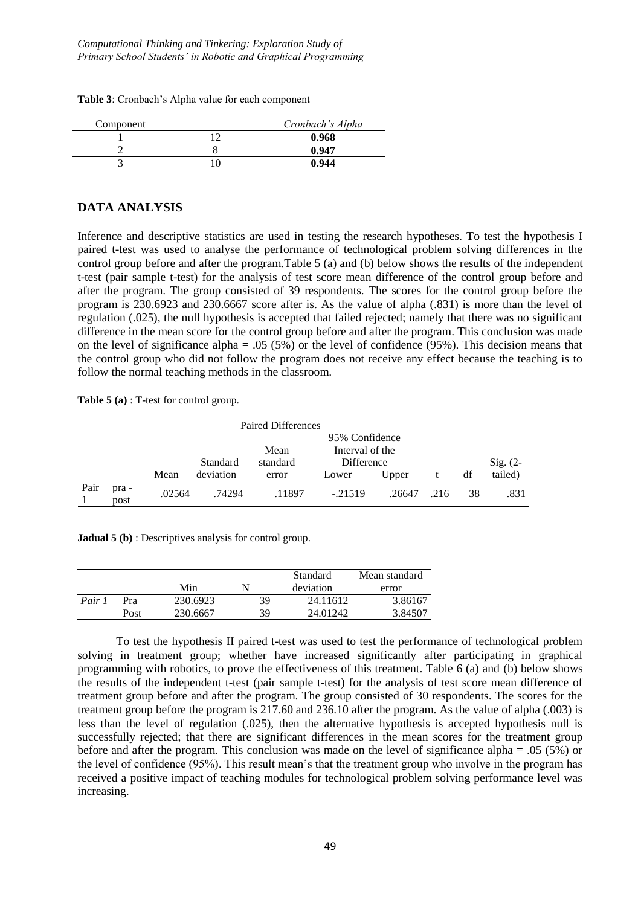*Computational Thinking and Tinkering: Exploration Study of Primary School Students' in Robotic and Graphical Programming*

**Table 3**: Cronbach's Alpha value for each component

| Component | Cronbach's Alpha |
|-----------|------------------|
|           | 0.968            |
|           | 0.947            |
|           | 0.944            |

#### **DATA ANALYSIS**

Inference and descriptive statistics are used in testing the research hypotheses. To test the hypothesis I paired t-test was used to analyse the performance of technological problem solving differences in the control group before and after the program.Table 5 (a) and (b) below shows the results of the independent t-test (pair sample t-test) for the analysis of test score mean difference of the control group before and after the program. The group consisted of 39 respondents. The scores for the control group before the program is 230.6923 and 230.6667 score after is. As the value of alpha (.831) is more than the level of regulation (.025), the null hypothesis is accepted that failed rejected; namely that there was no significant difference in the mean score for the control group before and after the program. This conclusion was made on the level of significance alpha = .05 (5%) or the level of confidence (95%). This decision means that the control group who did not follow the program does not receive any effect because the teaching is to follow the normal teaching methods in the classroom.

**Table 5 (a)** : T-test for control group.

| <b>Paired Differences</b> |               |        |           |          |                 |        |      |    |            |
|---------------------------|---------------|--------|-----------|----------|-----------------|--------|------|----|------------|
|                           |               |        |           |          |                 |        |      |    |            |
|                           |               |        |           | Mean     | Interval of the |        |      |    |            |
|                           |               |        | Standard  | standard | Difference      |        |      |    | $Sig. (2-$ |
|                           |               | Mean   | deviation | error    | Lower           | Upper  |      | df | tailed)    |
| Pair                      | pra -<br>post | .02564 | .74294    | .11897   | $-.21519$       | .26647 | .216 | 38 | .831       |

**Jadual 5 (b)** : Descriptives analysis for control group.

|        |      |          |           | Standard | Mean standard |  |
|--------|------|----------|-----------|----------|---------------|--|
|        |      | Min      | deviation |          | error         |  |
| Pair 1 | Pra  | 230.6923 | 39        | 24.11612 | 3.86167       |  |
|        | Post | 230.6667 | 39        | 24.01242 | 3.84507       |  |

To test the hypothesis II paired t-test was used to test the performance of technological problem solving in treatment group; whether have increased significantly after participating in graphical programming with robotics, to prove the effectiveness of this treatment. Table 6 (a) and (b) below shows the results of the independent t-test (pair sample t-test) for the analysis of test score mean difference of treatment group before and after the program. The group consisted of 30 respondents. The scores for the treatment group before the program is 217.60 and 236.10 after the program. As the value of alpha (.003) is less than the level of regulation (.025), then the alternative hypothesis is accepted hypothesis null is successfully rejected; that there are significant differences in the mean scores for the treatment group before and after the program. This conclusion was made on the level of significance alpha = .05 (5%) or the level of confidence (95%). This result mean's that the treatment group who involve in the program has received a positive impact of teaching modules for technological problem solving performance level was increasing.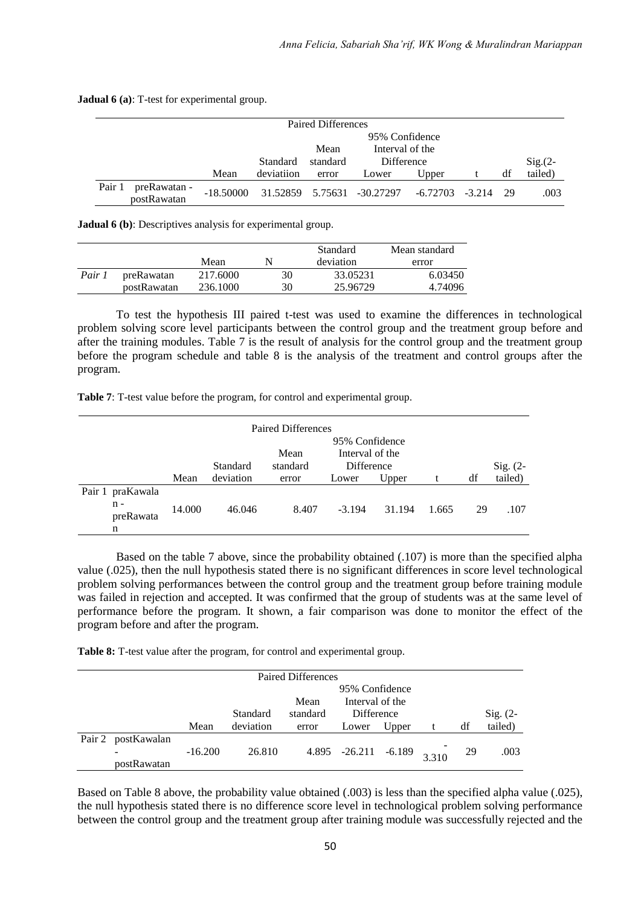**Jadual 6 (a)**: T-test for experimental group.

| Paired Differences |                             |             |                |          |                            |                     |  |      |           |  |
|--------------------|-----------------------------|-------------|----------------|----------|----------------------------|---------------------|--|------|-----------|--|
|                    |                             |             | 95% Confidence |          |                            |                     |  |      |           |  |
|                    |                             |             |                | Mean     | Interval of the            |                     |  |      |           |  |
|                    |                             |             | Standard       | standard | Difference                 |                     |  |      | $Sig(2 -$ |  |
|                    |                             | Mean        | deviation      | error    | Lower                      | Upper               |  | df   | tailed)   |  |
| Pair 1             | preRawatan -<br>postRawatan | $-18.50000$ |                |          | 31.52859 5.75631 -30.27297 | $-6.72703$ $-3.214$ |  | - 29 | .003      |  |

**Jadual 6 (b)**: Descriptives analysis for experimental group.

|        |             | Mean     |    | Standard<br>deviation | Mean standard<br>error |  |
|--------|-------------|----------|----|-----------------------|------------------------|--|
| Pair 1 | preRawatan  | 217.6000 | 30 | 33.05231              | 6.03450                |  |
|        | postRawatan | 236.1000 | 30 | 25.96729              | 4.74096                |  |

To test the hypothesis III paired t-test was used to examine the differences in technological problem solving score level participants between the control group and the treatment group before and after the training modules. Table 7 is the result of analysis for the control group and the treatment group before the program schedule and table 8 is the analysis of the treatment and control groups after the program.

**Table 7**: T-test value before the program, for control and experimental group.

| <b>Paired Differences</b> |                                             |        |                                           |          |                   |        |       |    |            |  |  |
|---------------------------|---------------------------------------------|--------|-------------------------------------------|----------|-------------------|--------|-------|----|------------|--|--|
|                           |                                             |        | 95% Confidence<br>Interval of the<br>Mean |          |                   |        |       |    |            |  |  |
|                           |                                             |        | Standard                                  | standard | <b>Difference</b> |        |       |    | $Sig. (2-$ |  |  |
|                           |                                             | Mean   | deviation                                 | error    | Lower             | Upper  |       | df | tailed)    |  |  |
|                           | Pair 1 praKawala<br>$n -$<br>preRawata<br>n | 14.000 | 46.046                                    | 8.407    | $-3.194$          | 31.194 | 1.665 | 29 | .107       |  |  |

Based on the table 7 above, since the probability obtained (.107) is more than the specified alpha value (.025), then the null hypothesis stated there is no significant differences in score level technological problem solving performances between the control group and the treatment group before training module was failed in rejection and accepted. It was confirmed that the group of students was at the same level of performance before the program. It shown, a fair comparison was done to monitor the effect of the program before and after the program.

**Table 8:** T-test value after the program, for control and experimental group.

| <b>Paired Differences</b> |                                         |           |                |          |                                |       |  |    |            |  |  |
|---------------------------|-----------------------------------------|-----------|----------------|----------|--------------------------------|-------|--|----|------------|--|--|
|                           |                                         |           | 95% Confidence |          |                                |       |  |    |            |  |  |
|                           |                                         |           |                | Mean     | Interval of the                |       |  |    |            |  |  |
|                           |                                         |           | Standard       | standard | <b>Difference</b>              |       |  |    | $Sig. (2-$ |  |  |
|                           |                                         | Mean      | deviation      | error    | Lower                          | Upper |  | df | tailed)    |  |  |
| Pair 2                    | postKawalan                             |           |                |          |                                |       |  |    |            |  |  |
|                           | $\overline{\phantom{a}}$<br>postRawatan | $-16.200$ | 26.810         |          | $4.895 -26.211 -6.189$ $3.310$ |       |  | 29 | .003       |  |  |

Based on Table 8 above, the probability value obtained (.003) is less than the specified alpha value (.025), the null hypothesis stated there is no difference score level in technological problem solving performance between the control group and the treatment group after training module was successfully rejected and the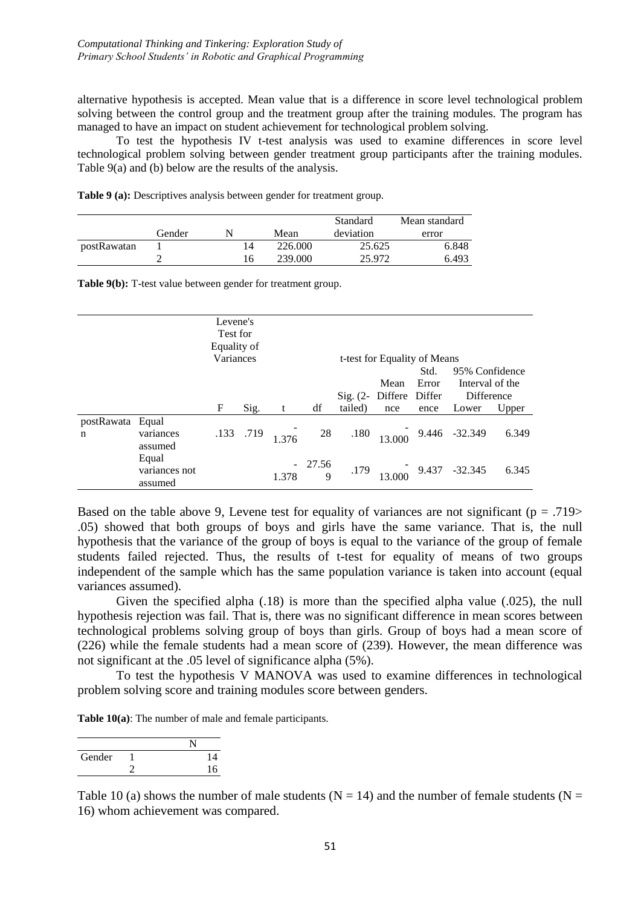alternative hypothesis is accepted. Mean value that is a difference in score level technological problem solving between the control group and the treatment group after the training modules. The program has managed to have an impact on student achievement for technological problem solving.

To test the hypothesis IV t-test analysis was used to examine differences in score level technological problem solving between gender treatment group participants after the training modules. Table 9(a) and (b) below are the results of the analysis.

|             |        |    |         | Standard  | Mean standard |  |
|-------------|--------|----|---------|-----------|---------------|--|
|             | Gender | N  | Mean    | deviation | error         |  |
| postRawatan |        | 14 | 226,000 | 25.625    | 6.848         |  |
|             |        | 16 | 239,000 | 25.972    | 6.493         |  |

**Table 9 (a):** Descriptives analysis between gender for treatment group.

|                       |                                   | Levene's<br>Test for<br>Equality of |      |       |               |                              |                         |                |                                                 |       |
|-----------------------|-----------------------------------|-------------------------------------|------|-------|---------------|------------------------------|-------------------------|----------------|-------------------------------------------------|-------|
|                       | Variances                         |                                     |      |       |               | t-test for Equality of Means |                         |                |                                                 |       |
|                       |                                   |                                     |      |       |               |                              | Std.                    | 95% Confidence |                                                 |       |
|                       |                                   |                                     |      |       |               |                              | Mean                    | Error          | Interval of the                                 |       |
|                       |                                   |                                     |      |       |               |                              | Sig. (2- Differe Differ |                | Difference                                      |       |
|                       |                                   | F                                   | Sig. | t     | df            | tailed)                      | nce                     | ence           | Lower                                           | Upper |
| postRawata Equal<br>n | variances<br>assumed              | .133                                | .719 | 1.376 |               | 28 .180                      |                         |                | $\begin{bmatrix} 9.446 & -32.349 \end{bmatrix}$ | 6.349 |
|                       | Equal<br>variances not<br>assumed |                                     |      | 1.378 | $-27.56$<br>9 | .179                         |                         |                | $13.000$ 9.437 -32.345                          | 6.345 |

Based on the table above 9, Levene test for equality of variances are not significant ( $p = .719$ ) .05) showed that both groups of boys and girls have the same variance. That is, the null hypothesis that the variance of the group of boys is equal to the variance of the group of female students failed rejected. Thus, the results of t-test for equality of means of two groups independent of the sample which has the same population variance is taken into account (equal variances assumed).

Given the specified alpha (.18) is more than the specified alpha value (.025), the null hypothesis rejection was fail. That is, there was no significant difference in mean scores between technological problems solving group of boys than girls. Group of boys had a mean score of (226) while the female students had a mean score of (239). However, the mean difference was not significant at the .05 level of significance alpha (5%).

To test the hypothesis V MANOVA was used to examine differences in technological problem solving score and training modules score between genders.

**Table 10(a)**: The number of male and female participants.

| Gender | 14 |  |
|--------|----|--|
|        | 16 |  |

Table 10 (a) shows the number of male students ( $N = 14$ ) and the number of female students ( $N = 14$ ) 16) whom achievement was compared.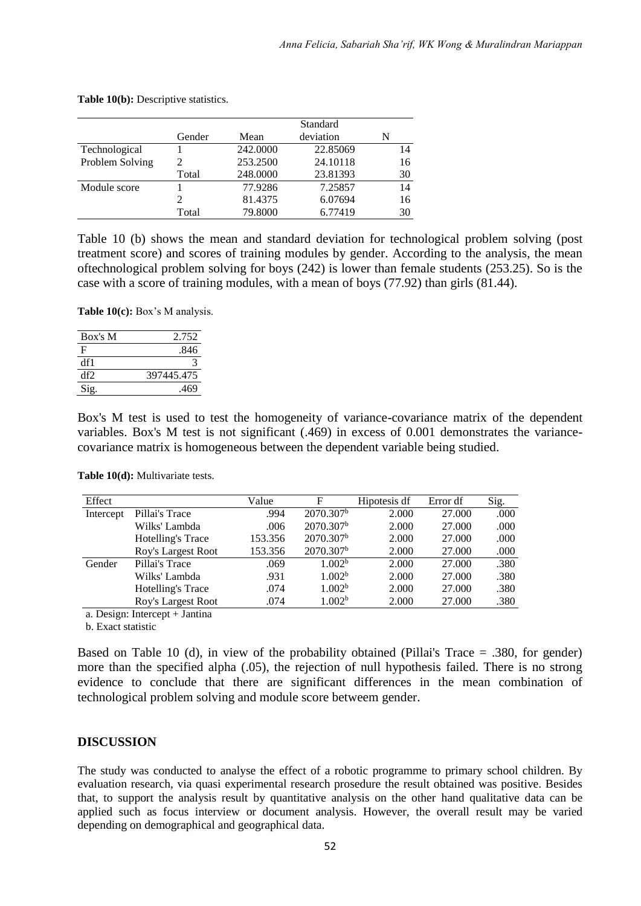|                 |        |          | Standard  |    |
|-----------------|--------|----------|-----------|----|
|                 | Gender | Mean     | deviation | N  |
| Technological   |        | 242,0000 | 22.85069  | 14 |
| Problem Solving |        | 253.2500 | 24.10118  | 16 |
|                 | Total  | 248,0000 | 23.81393  | 30 |
| Module score    |        | 77.9286  | 7.25857   | 14 |
|                 | 2      | 81.4375  | 6.07694   | 16 |
|                 | Total  | 79.8000  | 6.77419   | 30 |

**Table 10(b):** Descriptive statistics.

Table 10 (b) shows the mean and standard deviation for technological problem solving (post treatment score) and scores of training modules by gender. According to the analysis, the mean oftechnological problem solving for boys (242) is lower than female students (253.25). So is the case with a score of training modules, with a mean of boys (77.92) than girls (81.44).

**Table 10(c):** Box's M analysis.

| Box's M | 2.752      |
|---------|------------|
| F       | .846       |
| df1     |            |
| df2     | 397445.475 |
| Sig.    | .469       |

Box's M test is used to test the homogeneity of variance-covariance matrix of the dependent variables. Box's M test is not significant (.469) in excess of 0.001 demonstrates the variancecovariance matrix is homogeneous between the dependent variable being studied.

| Effect    |                    | Value   | F                     | Hipotesis df | Error df | Sig. |
|-----------|--------------------|---------|-----------------------|--------------|----------|------|
| Intercept | Pillai's Trace     | .994    | 2070.307 <sup>b</sup> | 2.000        | 27.000   | .000 |
|           | Wilks' Lambda      | .006    | 2070.307 <sup>b</sup> | 2.000        | 27.000   | .000 |
|           | Hotelling's Trace  | 153.356 | 2070.307 <sup>b</sup> | 2.000        | 27.000   | .000 |
|           | Roy's Largest Root | 153.356 | 2070.307 <sup>b</sup> | 2.000        | 27.000   | .000 |
| Gender    | Pillai's Trace     | .069    | 1.002 <sup>b</sup>    | 2.000        | 27.000   | .380 |
|           | Wilks' Lambda      | .931    | 1.002 <sup>b</sup>    | 2.000        | 27.000   | .380 |
|           | Hotelling's Trace  | .074    | 1.002 <sup>b</sup>    | 2.000        | 27.000   | .380 |
|           | Roy's Largest Root | .074    | 1.002 <sup>b</sup>    | 2.000        | 27.000   | .380 |

**Table 10(d):** Multivariate tests.

a. Design: Intercept + Jantina

b. Exact statistic

Based on Table 10 (d), in view of the probability obtained (Pillai's Trace = .380, for gender) more than the specified alpha (.05), the rejection of null hypothesis failed. There is no strong evidence to conclude that there are significant differences in the mean combination of technological problem solving and module score betweem gender.

### **DISCUSSION**

The study was conducted to analyse the effect of a robotic programme to primary school children. By evaluation research, via quasi experimental research prosedure the result obtained was positive. Besides that, to support the analysis result by quantitative analysis on the other hand qualitative data can be applied such as focus interview or document analysis. However, the overall result may be varied depending on demographical and geographical data.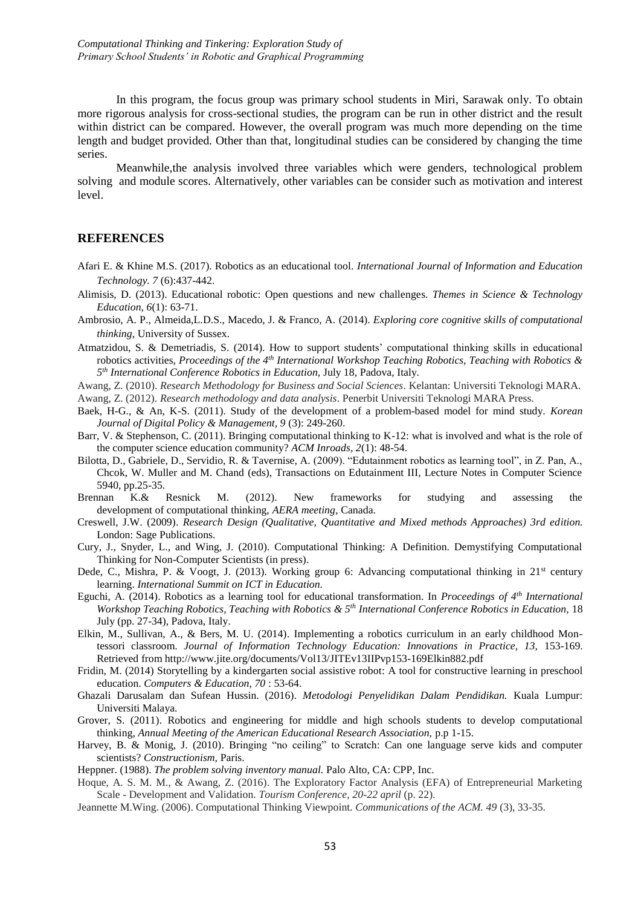In this program, the focus group was primary school students in Miri, Sarawak only. To obtain more rigorous analysis for cross-sectional studies, the program can be run in other district and the result within district can be compared. However, the overall program was much more depending on the time length and budget provided. Other than that, longitudinal studies can be considered by changing the time series.

Meanwhile,the analysis involved three variables which were genders, technological problem solving and module scores. Alternatively, other variables can be consider such as motivation and interest level.

#### **REFERENCES**

- Afari E. & Khine M.S. (2017). Robotics as an educational tool. *International Journal of Information and Education Technology. 7* (6):437-442.
- Alimisis, D. (2013). Educational robotic: Open questions and new challenges. *Themes in Science & Technology Education, 6*(1): 63-71.
- Ambrosio, A. P., Almeida,L.D.S., Macedo, J. & Franco, A. (2014). *Exploring core cognitive skills of computational thinking*, University of Sussex.
- Atmatzidou, S. & Demetriadis, S. (2014). How to support students' computational thinking skills in educational robotics activities, *Proceedings of the 4th International Workshop Teaching Robotics, Teaching with Robotics & 5 th International Conference Robotics in Education,* July 18, Padova, Italy.
- Awang, Z. (2010). *Research Methodology for Business and Social Sciences.* Kelantan: Universiti Teknologi MARA.

Awang, Z. (2012). *Research methodology and data analysis*. Penerbit Universiti Teknologi MARA Press.

- Baek, H-G., & An, K-S. (2011). Study of the development of a problem-based model for mind study. *Korean Journal of Digital Policy & Management, 9* (3): 249-260.
- Barr, V. & Stephenson, C. (2011). Bringing computational thinking to K-12: what is involved and what is the role of the computer science education community? *ACM Inroads, 2*(1): 48-54.
- Bilotta, D., Gabriele, D., Servidio, R. & Tavernise, A. (2009). "Edutainment robotics as learning tool", in Z. Pan, A., Chcok, W. Muller and M. Chand (eds), Transactions on Edutainment III, Lecture Notes in Computer Science 5940, pp.25-35.
- Brennan K.& Resnick M. (2012). New frameworks for studying and assessing the development of computational thinking, *AERA meeting,* Canada.
- Creswell, J.W. (2009). *Research Design (Qualitative, Quantitative and Mixed methods Approaches) 3rd edition.*  London: Sage Publications.
- Cury, J., Snyder, L., and Wing, J. (2010). Computational Thinking: A Definition. Demystifying Computational Thinking for Non-Computer Scientists (in press).
- Dede, C., Mishra, P. & Voogt, J. (2013). Working group 6: Advancing computational thinking in 21<sup>st</sup> century learning. *International Summit on ICT in Education.*
- Eguchi, A. (2014). Robotics as a learning tool for educational transformation. In *Proceedings of 4th International Workshop Teaching Robotics, Teaching with Robotics & 5th International Conference Robotics in Education,* 18 July (pp. 27-34), Padova, Italy.
- Elkin, M., Sullivan, A., & Bers, M. U. (2014). Implementing a robotics curriculum in an early childhood Montessori classroom. *Journal of Information Technology Education: Innovations in Practice, 13, 153-169.* Retrieved from http://www.jite.org/documents/Vol13/JITEv13IIPvp153-169Elkin882.pdf
- Fridin, M. (2014) Storytelling by a kindergarten social assistive robot: A tool for constructive learning in preschool education. *Computers & Education, 70* : 53-64.
- Ghazali Darusalam dan Sufean Hussin. (2016). *Metodologi Penyelidikan Dalam Pendidikan.* Kuala Lumpur: Universiti Malaya.
- Grover, S. (2011). Robotics and engineering for middle and high schools students to develop computational thinking, *Annual Meeting of the American Educational Research Association,* p.p 1-15.
- Harvey, B. & Monig, J. (2010). Bringing "no ceiling" to Scratch: Can one language serve kids and computer scientists? *Constructionism,* Paris.
- Heppner. (1988). *The problem solving inventory manual.* Palo Alto, CA: CPP, Inc.
- Hoque, A. S. M. M., & Awang, Z. (2016). The Exploratory Factor Analysis (EFA) of Entrepreneurial Marketing Scale - Development and Validation. *Tourism Conference, 20-22 april* (p. 22).
- Jeannette M.Wing. (2006). Computational Thinking Viewpoint. *Communications of the ACM. 49* (3), 33-35.